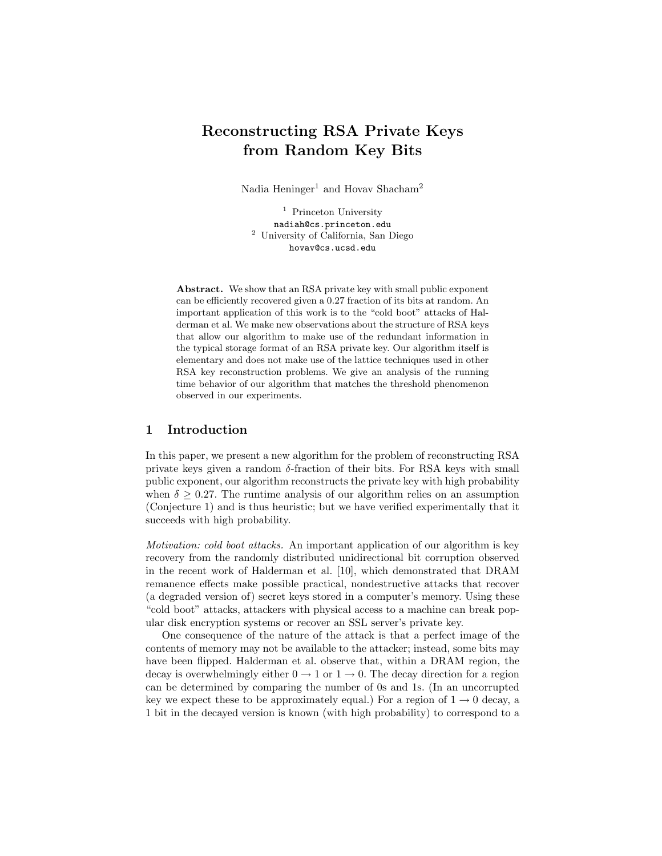# Reconstructing RSA Private Keys from Random Key Bits

Nadia  $\operatorname{Heninger}^1$  and  $\operatorname{Hovav}$   $\operatorname{Shacham}^2$ 

<sup>1</sup> Princeton University nadiah@cs.princeton.edu <sup>2</sup> University of California, San Diego hovav@cs.ucsd.edu

Abstract. We show that an RSA private key with small public exponent can be efficiently recovered given a 0.27 fraction of its bits at random. An important application of this work is to the "cold boot" attacks of Halderman et al. We make new observations about the structure of RSA keys that allow our algorithm to make use of the redundant information in the typical storage format of an RSA private key. Our algorithm itself is elementary and does not make use of the lattice techniques used in other RSA key reconstruction problems. We give an analysis of the running time behavior of our algorithm that matches the threshold phenomenon observed in our experiments.

## 1 Introduction

In this paper, we present a new algorithm for the problem of reconstructing RSA private keys given a random  $\delta$ -fraction of their bits. For RSA keys with small public exponent, our algorithm reconstructs the private key with high probability when  $\delta \geq 0.27$ . The runtime analysis of our algorithm relies on an assumption (Conjecture 1) and is thus heuristic; but we have verified experimentally that it succeeds with high probability.

Motivation: cold boot attacks. An important application of our algorithm is key recovery from the randomly distributed unidirectional bit corruption observed in the recent work of Halderman et al. [10], which demonstrated that DRAM remanence effects make possible practical, nondestructive attacks that recover (a degraded version of) secret keys stored in a computer's memory. Using these "cold boot" attacks, attackers with physical access to a machine can break popular disk encryption systems or recover an SSL server's private key.

One consequence of the nature of the attack is that a perfect image of the contents of memory may not be available to the attacker; instead, some bits may have been flipped. Halderman et al. observe that, within a DRAM region, the decay is overwhelmingly either  $0 \rightarrow 1$  or  $1 \rightarrow 0$ . The decay direction for a region can be determined by comparing the number of 0s and 1s. (In an uncorrupted key we expect these to be approximately equal.) For a region of  $1 \rightarrow 0$  decay, a 1 bit in the decayed version is known (with high probability) to correspond to a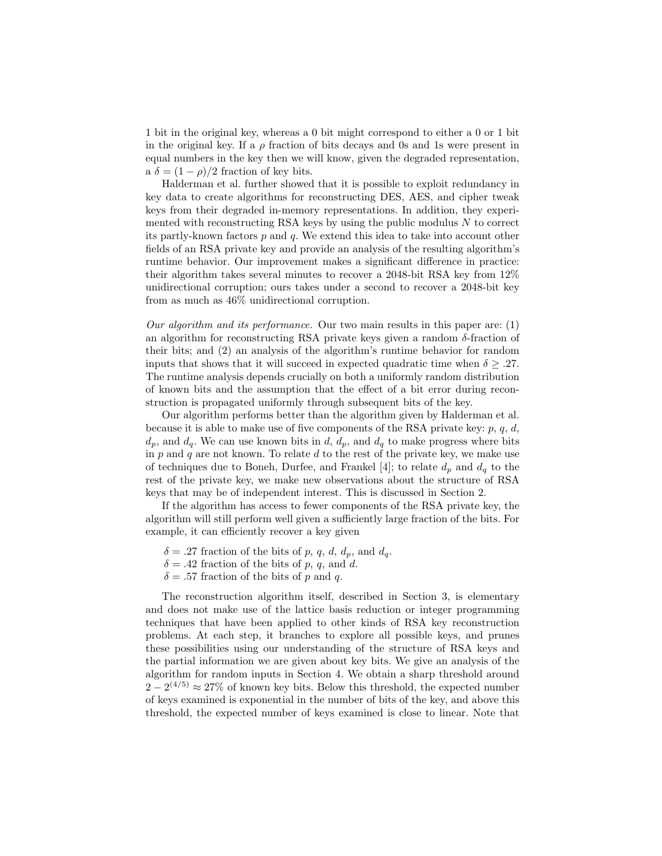1 bit in the original key, whereas a 0 bit might correspond to either a 0 or 1 bit in the original key. If a  $\rho$  fraction of bits decays and 0s and 1s were present in equal numbers in the key then we will know, given the degraded representation, a  $\delta = (1 - \rho)/2$  fraction of key bits.

Halderman et al. further showed that it is possible to exploit redundancy in key data to create algorithms for reconstructing DES, AES, and cipher tweak keys from their degraded in-memory representations. In addition, they experimented with reconstructing RSA keys by using the public modulus  $N$  to correct its partly-known factors  $p$  and  $q$ . We extend this idea to take into account other fields of an RSA private key and provide an analysis of the resulting algorithm's runtime behavior. Our improvement makes a significant difference in practice: their algorithm takes several minutes to recover a 2048-bit RSA key from 12% unidirectional corruption; ours takes under a second to recover a 2048-bit key from as much as 46% unidirectional corruption.

Our algorithm and its performance. Our two main results in this paper are:  $(1)$ an algorithm for reconstructing RSA private keys given a random  $\delta$ -fraction of their bits; and (2) an analysis of the algorithm's runtime behavior for random inputs that shows that it will succeed in expected quadratic time when  $\delta > .27$ . The runtime analysis depends crucially on both a uniformly random distribution of known bits and the assumption that the effect of a bit error during reconstruction is propagated uniformly through subsequent bits of the key.

Our algorithm performs better than the algorithm given by Halderman et al. because it is able to make use of five components of the RSA private key:  $p, q, d$ ,  $d_p$ , and  $d_q$ . We can use known bits in d,  $d_p$ , and  $d_q$  to make progress where bits in  $p$  and  $q$  are not known. To relate  $d$  to the rest of the private key, we make use of techniques due to Boneh, Durfee, and Frankel [4]; to relate  $d_p$  and  $d_q$  to the rest of the private key, we make new observations about the structure of RSA keys that may be of independent interest. This is discussed in Section 2.

If the algorithm has access to fewer components of the RSA private key, the algorithm will still perform well given a sufficiently large fraction of the bits. For example, it can efficiently recover a key given

- $\delta = .27$  fraction of the bits of p, q, d,  $d_p$ , and  $d_q$ .
- $\delta = .42$  fraction of the bits of p, q, and d.
- $\delta = .57$  fraction of the bits of p and q.

The reconstruction algorithm itself, described in Section 3, is elementary and does not make use of the lattice basis reduction or integer programming techniques that have been applied to other kinds of RSA key reconstruction problems. At each step, it branches to explore all possible keys, and prunes these possibilities using our understanding of the structure of RSA keys and the partial information we are given about key bits. We give an analysis of the algorithm for random inputs in Section 4. We obtain a sharp threshold around  $2-2^{(4/5)} \approx 27\%$  of known key bits. Below this threshold, the expected number of keys examined is exponential in the number of bits of the key, and above this threshold, the expected number of keys examined is close to linear. Note that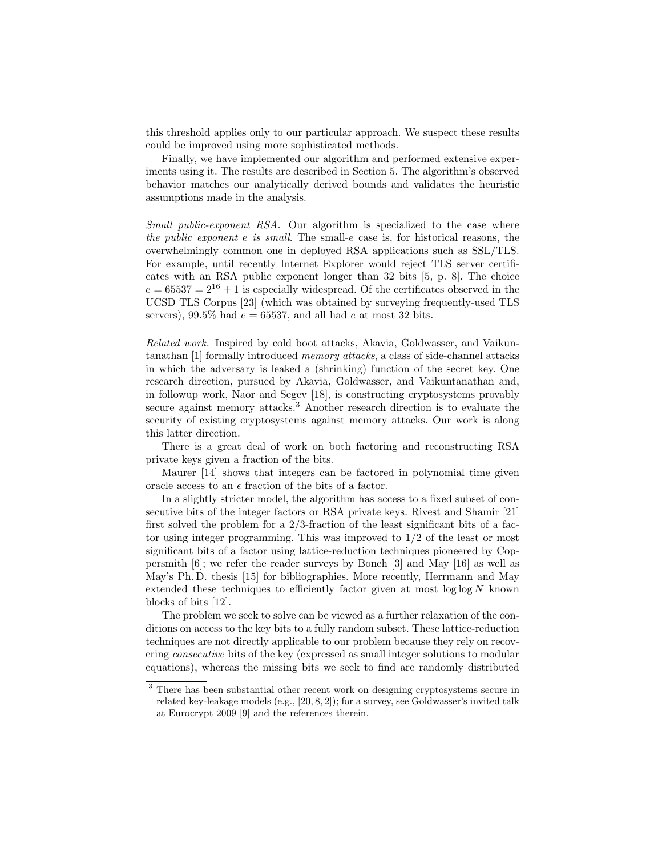this threshold applies only to our particular approach. We suspect these results could be improved using more sophisticated methods.

Finally, we have implemented our algorithm and performed extensive experiments using it. The results are described in Section 5. The algorithm's observed behavior matches our analytically derived bounds and validates the heuristic assumptions made in the analysis.

Small public-exponent RSA. Our algorithm is specialized to the case where the public exponent e is small. The small-e case is, for historical reasons, the overwhelmingly common one in deployed RSA applications such as SSL/TLS. For example, until recently Internet Explorer would reject TLS server certificates with an RSA public exponent longer than 32 bits [5, p. 8]. The choice  $e = 65537 = 2^{16} + 1$  is especially widespread. Of the certificates observed in the UCSD TLS Corpus [23] (which was obtained by surveying frequently-used TLS servers), 99.5% had  $e = 65537$ , and all had e at most 32 bits.

Related work. Inspired by cold boot attacks, Akavia, Goldwasser, and Vaikuntanathan [1] formally introduced memory attacks, a class of side-channel attacks in which the adversary is leaked a (shrinking) function of the secret key. One research direction, pursued by Akavia, Goldwasser, and Vaikuntanathan and, in followup work, Naor and Segev [18], is constructing cryptosystems provably secure against memory attacks.<sup>3</sup> Another research direction is to evaluate the security of existing cryptosystems against memory attacks. Our work is along this latter direction.

There is a great deal of work on both factoring and reconstructing RSA private keys given a fraction of the bits.

Maurer [14] shows that integers can be factored in polynomial time given oracle access to an  $\epsilon$  fraction of the bits of a factor.

In a slightly stricter model, the algorithm has access to a fixed subset of consecutive bits of the integer factors or RSA private keys. Rivest and Shamir [21] first solved the problem for a  $2/3$ -fraction of the least significant bits of a factor using integer programming. This was improved to  $1/2$  of the least or most significant bits of a factor using lattice-reduction techniques pioneered by Coppersmith [6]; we refer the reader surveys by Boneh [3] and May [16] as well as May's Ph. D. thesis [15] for bibliographies. More recently, Herrmann and May extended these techniques to efficiently factor given at most  $\log \log N$  known blocks of bits [12].

The problem we seek to solve can be viewed as a further relaxation of the conditions on access to the key bits to a fully random subset. These lattice-reduction techniques are not directly applicable to our problem because they rely on recovering consecutive bits of the key (expressed as small integer solutions to modular equations), whereas the missing bits we seek to find are randomly distributed

<sup>&</sup>lt;sup>3</sup> There has been substantial other recent work on designing cryptosystems secure in related key-leakage models (e.g., [20, 8, 2]); for a survey, see Goldwasser's invited talk at Eurocrypt 2009 [9] and the references therein.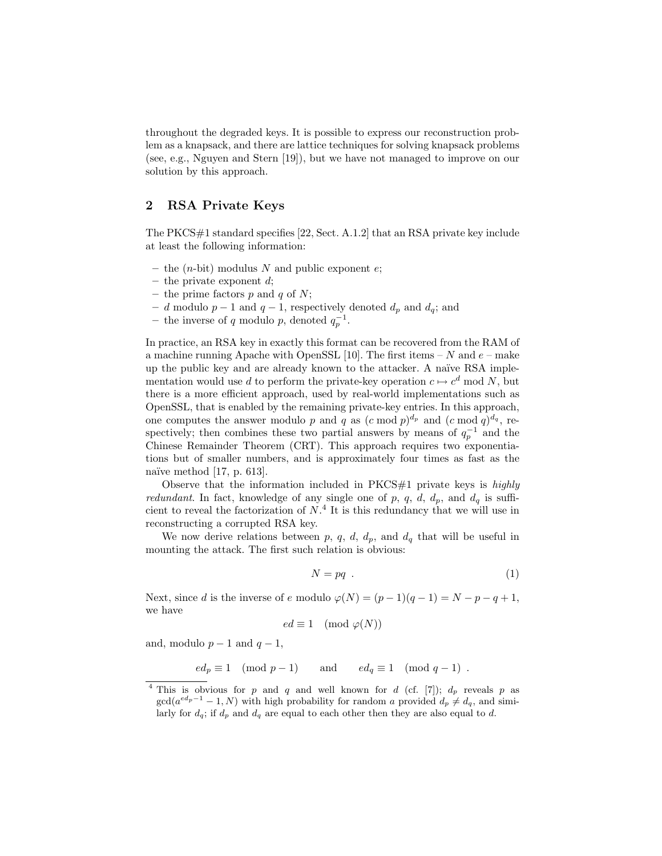throughout the degraded keys. It is possible to express our reconstruction problem as a knapsack, and there are lattice techniques for solving knapsack problems (see, e.g., Nguyen and Stern [19]), but we have not managed to improve on our solution by this approach.

# 2 RSA Private Keys

The PKCS#1 standard specifies [22, Sect. A.1.2] that an RSA private key include at least the following information:

- the  $(n$ -bit) modulus N and public exponent  $e$ ;
- the private exponent  $d$ ;
- the prime factors  $p$  and  $q$  of  $N$ ;
- d modulo  $p-1$  and  $q-1$ , respectively denoted  $d_p$  and  $d_q$ ; and
- the inverse of q modulo p, denoted  $q_p^{-1}$ .

In practice, an RSA key in exactly this format can be recovered from the RAM of a machine running Apache with OpenSSL [10]. The first items  $- N$  and  $e$  – make up the public key and are already known to the attacker. A naïve RSA implementation would use d to perform the private-key operation  $c \mapsto c^d \mod N$ , but there is a more efficient approach, used by real-world implementations such as OpenSSL, that is enabled by the remaining private-key entries. In this approach, one computes the answer modulo p and q as  $(c \mod p)^{d_p}$  and  $(c \mod q)^{d_q}$ , respectively; then combines these two partial answers by means of  $q_p^{-1}$  and the Chinese Remainder Theorem (CRT). This approach requires two exponentiations but of smaller numbers, and is approximately four times as fast as the naïve method  $[17, p. 613]$ .

Observe that the information included in  $PKCS#1$  private keys is *highly redundant*. In fact, knowledge of any single one of p, q, d,  $d_p$ , and  $d_q$  is sufficient to reveal the factorization of  $N<sup>4</sup>$  It is this redundancy that we will use in reconstructing a corrupted RSA key.

We now derive relations between p, q, d,  $d_p$ , and  $d_q$  that will be useful in mounting the attack. The first such relation is obvious:

$$
N = pq \tag{1}
$$

Next, since d is the inverse of e modulo  $\varphi(N) = (p-1)(q-1) = N - p - q + 1$ , we have

$$
ed \equiv 1 \pmod{\varphi(N)}
$$

and, modulo  $p-1$  and  $q-1$ ,

$$
ed_p \equiv 1 \pmod{p-1}
$$
 and  $ed_q \equiv 1 \pmod{q-1}$ .

<sup>&</sup>lt;sup>4</sup> This is obvious for p and q and well known for d (cf. [7]);  $d_p$  reveals p as  $\gcd(a^{ed_p-1}-1, N)$  with high probability for random a provided  $d_p \neq d_q$ , and similarly for  $d_q$ ; if  $d_p$  and  $d_q$  are equal to each other then they are also equal to d.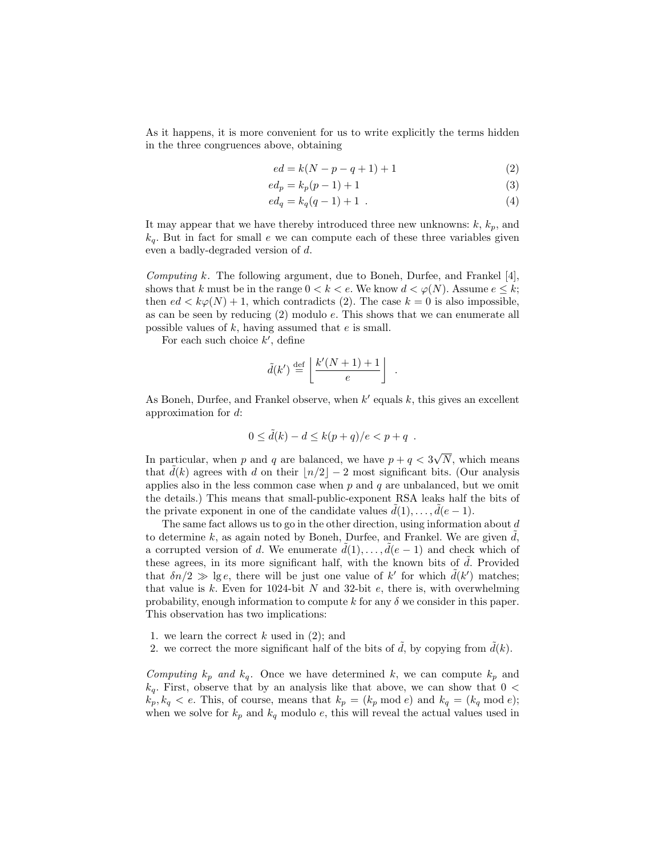As it happens, it is more convenient for us to write explicitly the terms hidden in the three congruences above, obtaining

$$
ed = k(N - p - q + 1) + 1 \tag{2}
$$

$$
ed_p = k_p(p-1) + 1\tag{3}
$$

$$
ed_q = k_q(q-1) + 1 \t\t(4)
$$

.

It may appear that we have thereby introduced three new unknowns:  $k, k_p$ , and  $k_q$ . But in fact for small e we can compute each of these three variables given even a badly-degraded version of d.

*Computing k.* The following argument, due to Boneh, Durfee, and Frankel  $|4|$ , shows that k must be in the range  $0 < k < e$ . We know  $d < \varphi(N)$ . Assume  $e \leq k$ ; then  $ed < k\varphi(N) + 1$ , which contradicts (2). The case  $k = 0$  is also impossible, as can be seen by reducing (2) modulo e. This shows that we can enumerate all possible values of  $k$ , having assumed that  $e$  is small.

For each such choice  $k'$ , define

$$
\tilde{d}(k') \stackrel{\text{def}}{=} \left\lfloor \frac{k'(N+1)+1}{e} \right\rfloor
$$

As Boneh, Durfee, and Frankel observe, when  $k'$  equals  $k$ , this gives an excellent approximation for d:

$$
0 \le \tilde{d}(k) - d \le k(p+q)/e < p+q .
$$

In particular, when p and q are balanced, we have  $p + q < 3$ √ N, which means that  $d(k)$  agrees with d on their  $\lfloor n/2 \rfloor - 2$  most significant bits. (Our analysis applies also in the less common case when  $p$  and  $q$  are unbalanced, but we omit the details.) This means that small-public-exponent RSA leaks half the bits of the private exponent in one of the candidate values  $\tilde{d}(1), \ldots, \tilde{d}(e-1)$ .

The same fact allows us to go in the other direction, using information about d to determine  $k$ , as again noted by Boneh, Durfee, and Frankel. We are given  $d$ , a corrupted version of d. We enumerate  $\tilde{d}(1), \ldots, \tilde{d}(e-1)$  and check which of these agrees, in its more significant half, with the known bits of  $d$ . Provided that  $\delta n/2 \gg \lg e$ , there will be just one value of k' for which  $\tilde{d}(k')$  matches; that value is  $k$ . Even for 1024-bit  $N$  and 32-bit  $e$ , there is, with overwhelming probability, enough information to compute k for any  $\delta$  we consider in this paper. This observation has two implications:

- 1. we learn the correct  $k$  used in  $(2)$ ; and
- 2. we correct the more significant half of the bits of  $\tilde{d}$ , by copying from  $\tilde{d}(k)$ .

Computing  $k_p$  and  $k_q$ . Once we have determined k, we can compute  $k_p$  and  $k_q$ . First, observe that by an analysis like that above, we can show that  $0 <$  $k_p, k_q < e$ . This, of course, means that  $k_p = (k_p \mod e)$  and  $k_q = (k_q \mod e)$ ; when we solve for  $k_p$  and  $k_q$  modulo e, this will reveal the actual values used in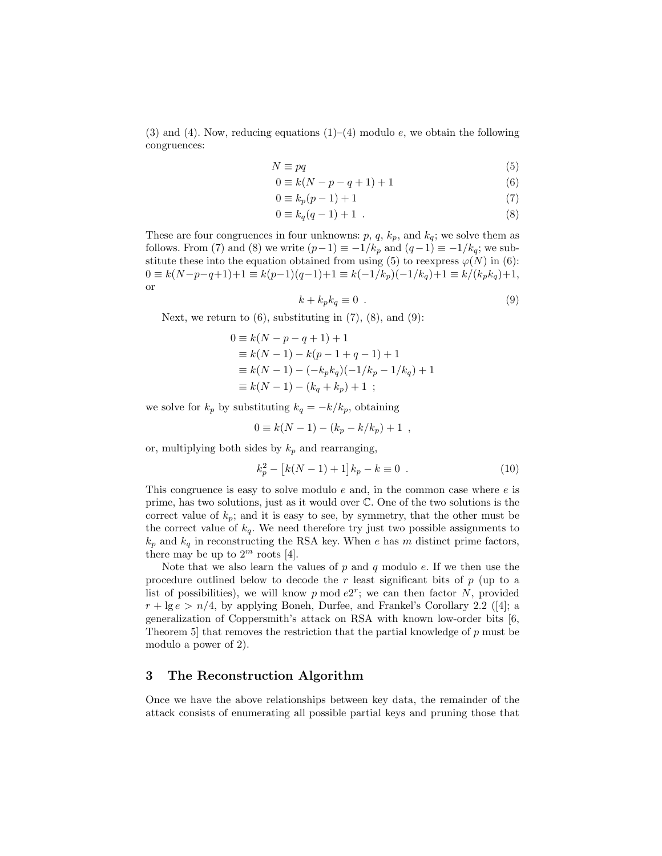(3) and (4). Now, reducing equations  $(1)$ –(4) modulo e, we obtain the following congruences:

$$
N \equiv pq \tag{5}
$$

$$
0 \equiv k(N - p - q + 1) + 1 \tag{6}
$$

$$
0 \equiv k_p(p-1) + 1 \tag{7}
$$

$$
0 \equiv k_q(q-1) + 1 \tag{8}
$$

These are four congruences in four unknowns:  $p, q, k_p$ , and  $k_q$ ; we solve them as follows. From (7) and (8) we write  $(p-1) \equiv -1/k_p$  and  $(q-1) \equiv -1/k_q$ ; we substitute these into the equation obtained from using (5) to reexpress  $\varphi(N)$  in (6):  $0 \equiv k(N-p-q+1)+1 \equiv k(p-1)(q-1)+1 \equiv k(-1/k_p)(-1/k_q)+1 \equiv k/(k_p k_q)+1,$ or

$$
k + k_p k_q \equiv 0 \tag{9}
$$

Next, we return to  $(6)$ , substituting in  $(7)$ ,  $(8)$ , and  $(9)$ :

$$
0 \equiv k(N - p - q + 1) + 1
$$
  
\n
$$
\equiv k(N - 1) - k(p - 1 + q - 1) + 1
$$
  
\n
$$
\equiv k(N - 1) - (-k_p k_q)(-1/k_p - 1/k_q) + 1
$$
  
\n
$$
\equiv k(N - 1) - (k_q + k_p) + 1 ;
$$

we solve for  $k_p$  by substituting  $k_q = -k/k_p$ , obtaining

$$
0 \equiv k(N-1) - (k_p - k/k_p) + 1 \ ,
$$

or, multiplying both sides by  $k_p$  and rearranging,

$$
k_p^2 - [k(N-1) + 1]k_p - k \equiv 0 . \qquad (10)
$$

This congruence is easy to solve modulo  $e$  and, in the common case where  $e$  is prime, has two solutions, just as it would over C. One of the two solutions is the correct value of  $k_p$ ; and it is easy to see, by symmetry, that the other must be the correct value of  $k_q$ . We need therefore try just two possible assignments to  $k_p$  and  $k_q$  in reconstructing the RSA key. When e has m distinct prime factors, there may be up to  $2^m$  roots [4].

Note that we also learn the values of p and q modulo e. If we then use the procedure outlined below to decode the r least significant bits of  $p$  (up to a list of possibilities), we will know  $p \mod e^{2^r}$ ; we can then factor N, provided  $r + \lg e > n/4$ , by applying Boneh, Durfee, and Frankel's Corollary 2.2 ([4]; a generalization of Coppersmith's attack on RSA with known low-order bits [6, Theorem 5] that removes the restriction that the partial knowledge of p must be modulo a power of 2).

# 3 The Reconstruction Algorithm

Once we have the above relationships between key data, the remainder of the attack consists of enumerating all possible partial keys and pruning those that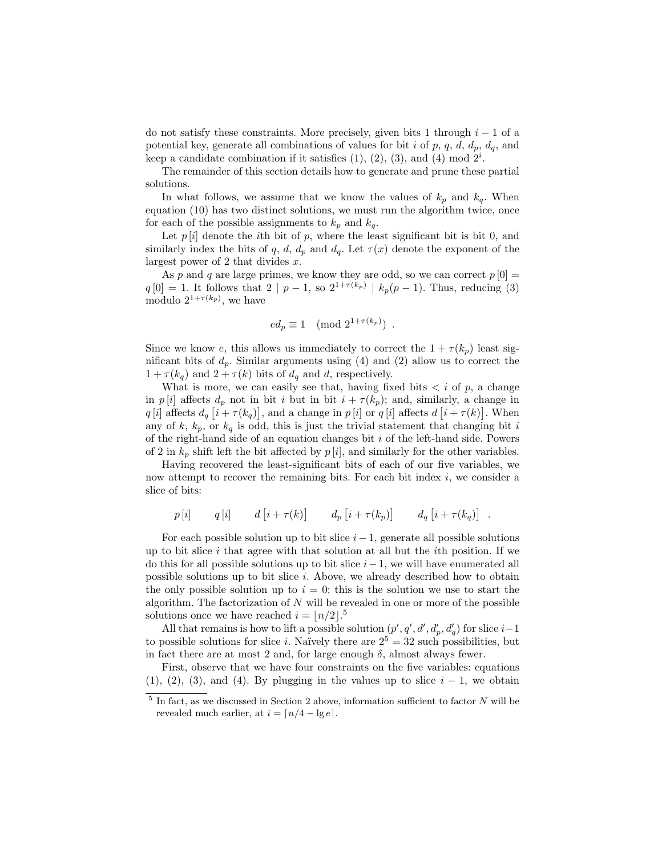do not satisfy these constraints. More precisely, given bits 1 through  $i - 1$  of a potential key, generate all combinations of values for bit i of p, q, d,  $d_p$ ,  $d_q$ , and keep a candidate combination if it satisfies  $(1)$ ,  $(2)$ ,  $(3)$ , and  $(4)$  mod  $2<sup>i</sup>$ .

The remainder of this section details how to generate and prune these partial solutions.

In what follows, we assume that we know the values of  $k_p$  and  $k_q$ . When equation (10) has two distinct solutions, we must run the algorithm twice, once for each of the possible assignments to  $k_p$  and  $k_q$ .

Let  $p[i]$  denote the *i*th bit of p, where the least significant bit is bit 0, and similarly index the bits of q, d,  $d_p$  and  $d_q$ . Let  $\tau(x)$  denote the exponent of the largest power of 2 that divides  $x$ .

As p and q are large primes, we know they are odd, so we can correct  $p[0] =$  $q[0] = 1$ . It follows that  $2 | p - 1$ , so  $2^{1+\tau(k_p)} | k_p(p-1)$ . Thus, reducing (3) modulo  $2^{1+\tau(k_p)}$ , we have

$$
ed_p \equiv 1 \pmod{2^{1+\tau(k_p)}}
$$
.

Since we know e, this allows us immediately to correct the  $1 + \tau(k_p)$  least significant bits of  $d_p$ . Similar arguments using (4) and (2) allow us to correct the  $1 + \tau(k_q)$  and  $2 + \tau(k)$  bits of  $d_q$  and d, respectively.

What is more, we can easily see that, having fixed bits  $\langle i \rangle$  of p, a change in p [i] affects  $d_p$  not in bit i but in bit  $i + \tau(k_p)$ ; and, similarly, a change in q [i] affects  $d_q$  [i +  $\tau(k_q)$ ], and a change in p [i] or q [i] affects  $d$  [i +  $\tau(k)$ ]. When any of  $k, k_p$ , or  $k_q$  is odd, this is just the trivial statement that changing bit i of the right-hand side of an equation changes bit  $i$  of the left-hand side. Powers of 2 in  $k_p$  shift left the bit affected by  $p[i]$ , and similarly for the other variables.

Having recovered the least-significant bits of each of our five variables, we now attempt to recover the remaining bits. For each bit index  $i$ , we consider a slice of bits:

$$
p[i]
$$
  $q[i]$   $d[i+\tau(k)]$   $d_p[i+\tau(k_p)]$   $d_q[i+\tau(k_q)]$ .

For each possible solution up to bit slice  $i - 1$ , generate all possible solutions up to bit slice  $i$  that agree with that solution at all but the  $i$ th position. If we do this for all possible solutions up to bit slice  $i-1$ , we will have enumerated all possible solutions up to bit slice i. Above, we already described how to obtain the only possible solution up to  $i = 0$ ; this is the solution we use to start the algorithm. The factorization of  $N$  will be revealed in one or more of the possible solutions once we have reached  $i = \lfloor n/2 \rfloor$ .<sup>5</sup>

All that remains is how to lift a possible solution  $(p', q', d', d'_p, d'_q)$  for slice  $i-1$ to possible solutions for slice *i*. Naïvely there are  $2^5 = 32$  such possibilities, but in fact there are at most 2 and, for large enough  $\delta$ , almost always fewer.

First, observe that we have four constraints on the five variables: equations  $(1), (2), (3),$  and  $(4)$ . By plugging in the values up to slice  $i - 1$ , we obtain

 $5$  In fact, as we discussed in Section 2 above, information sufficient to factor N will be revealed much earlier, at  $i = \lceil n/4 - \lg e \rceil$ .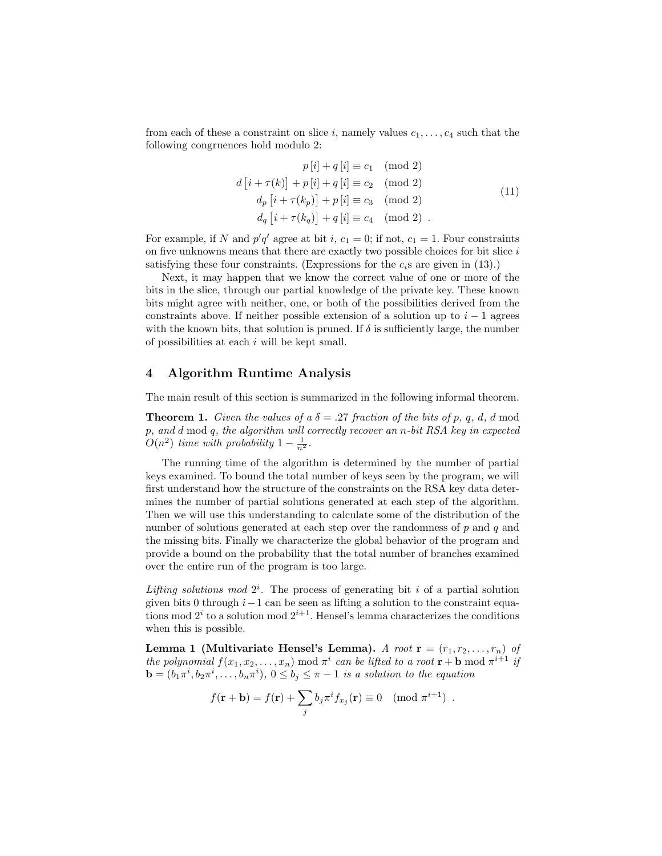from each of these a constraint on slice i, namely values  $c_1, \ldots, c_4$  such that the following congruences hold modulo 2:

$$
p[i] + q[i] \equiv c_1 \pmod{2}
$$
  
\n
$$
d[i + \tau(k)] + p[i] + q[i] \equiv c_2 \pmod{2}
$$
  
\n
$$
d_p[i + \tau(k_p)] + p[i] \equiv c_3 \pmod{2}
$$
  
\n
$$
d_q[i + \tau(k_q)] + q[i] \equiv c_4 \pmod{2} .
$$
\n(11)

For example, if N and  $p'q'$  agree at bit i,  $c_1 = 0$ ; if not,  $c_1 = 1$ . Four constraints on five unknowns means that there are exactly two possible choices for bit slice  $i$ satisfying these four constraints. (Expressions for the  $c_i$ s are given in (13).)

Next, it may happen that we know the correct value of one or more of the bits in the slice, through our partial knowledge of the private key. These known bits might agree with neither, one, or both of the possibilities derived from the constraints above. If neither possible extension of a solution up to  $i - 1$  agrees with the known bits, that solution is pruned. If  $\delta$  is sufficiently large, the number of possibilities at each i will be kept small.

# 4 Algorithm Runtime Analysis

The main result of this section is summarized in the following informal theorem.

**Theorem 1.** Given the values of a  $\delta = .27$  fraction of the bits of p, q, d, d mod p, and d mod q, the algorithm will correctly recover an n-bit RSA key in expected  $O(n^2)$  time with probability  $1 - \frac{1}{n^2}$ .

The running time of the algorithm is determined by the number of partial keys examined. To bound the total number of keys seen by the program, we will first understand how the structure of the constraints on the RSA key data determines the number of partial solutions generated at each step of the algorithm. Then we will use this understanding to calculate some of the distribution of the number of solutions generated at each step over the randomness of  $p$  and  $q$  and the missing bits. Finally we characterize the global behavior of the program and provide a bound on the probability that the total number of branches examined over the entire run of the program is too large.

Lifting solutions mod  $2^i$ . The process of generating bit i of a partial solution given bits 0 through  $i-1$  can be seen as lifting a solution to the constraint equations mod  $2^i$  to a solution mod  $2^{i+1}$ . Hensel's lemma characterizes the conditions when this is possible.

Lemma 1 (Multivariate Hensel's Lemma). A root  $\mathbf{r} = (r_1, r_2, \ldots, r_n)$  of the polynomial  $f(x_1, x_2, \ldots, x_n) \mod \pi^i$  can be lifted to a root  $\mathbf{r} + \mathbf{b} \mod \pi^{i+1}$  if  $\mathbf{b} = (b_1 \pi^i, b_2 \pi^i, \dots, b_n \pi^i), 0 \leq b_j \leq \pi - 1$  is a solution to the equation

$$
f(\mathbf{r} + \mathbf{b}) = f(\mathbf{r}) + \sum_{j} b_j \pi^i f_{x_j}(\mathbf{r}) \equiv 0 \pmod{\pi^{i+1}}.
$$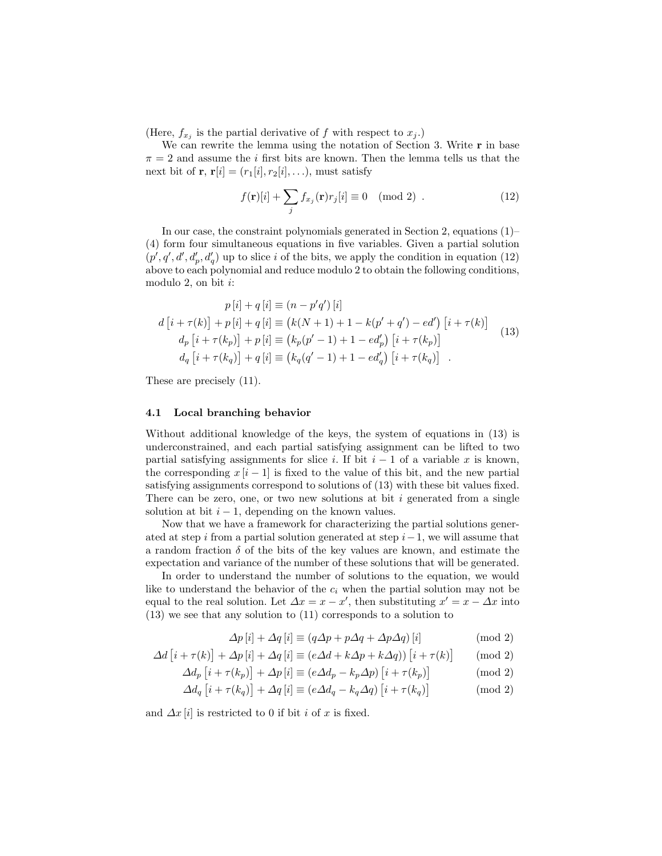(Here,  $f_{x_j}$  is the partial derivative of f with respect to  $x_j$ .)

We can rewrite the lemma using the notation of Section 3. Write  $\mathbf r$  in base  $\pi = 2$  and assume the *i* first bits are known. Then the lemma tells us that the next bit of **r**,  $\mathbf{r}[i] = (r_1[i], r_2[i], \ldots)$ , must satisfy

$$
f(\mathbf{r})[i] + \sum_{j} f_{x_j}(\mathbf{r}) r_j[i] \equiv 0 \pmod{2} . \tag{12}
$$

In our case, the constraint polynomials generated in Section 2, equations  $(1)$ – (4) form four simultaneous equations in five variables. Given a partial solution  $(p', q', d', d'_p, d'_q)$  up to slice i of the bits, we apply the condition in equation (12) above to each polynomial and reduce modulo 2 to obtain the following conditions, modulo 2, on bit  $i$ :

$$
p[i] + q[i] \equiv (n - p'q')[i]
$$
  
\n
$$
d[i + \tau(k)] + p[i] + q[i] \equiv (k(N + 1) + 1 - k(p' + q') - ed') [i + \tau(k)]
$$
  
\n
$$
d_p[i + \tau(k_p)] + p[i] \equiv (k_p(p' - 1) + 1 - ed'_p) [i + \tau(k_p)]
$$
  
\n
$$
d_q[i + \tau(k_q)] + q[i] \equiv (k_q(q' - 1) + 1 - ed'_q) [i + \tau(k_q)]
$$
\n(13)

These are precisely (11).

#### 4.1 Local branching behavior

Without additional knowledge of the keys, the system of equations in (13) is underconstrained, and each partial satisfying assignment can be lifted to two partial satisfying assignments for slice i. If bit  $i - 1$  of a variable x is known, the corresponding  $x[i-1]$  is fixed to the value of this bit, and the new partial satisfying assignments correspond to solutions of (13) with these bit values fixed. There can be zero, one, or two new solutions at bit  $i$  generated from a single solution at bit  $i - 1$ , depending on the known values.

Now that we have a framework for characterizing the partial solutions generated at step i from a partial solution generated at step  $i-1$ , we will assume that a random fraction  $\delta$  of the bits of the key values are known, and estimate the expectation and variance of the number of these solutions that will be generated.

In order to understand the number of solutions to the equation, we would like to understand the behavior of the  $c_i$  when the partial solution may not be equal to the real solution. Let  $\Delta x = x - x'$ , then substituting  $x' = x - \Delta x$  into (13) we see that any solution to (11) corresponds to a solution to

$$
\Delta p[i] + \Delta q[i] \equiv (q\Delta p + p\Delta q + \Delta p\Delta q)[i] \tag{mod 2}
$$

$$
\Delta d \left[ i + \tau(k) \right] + \Delta p \left[ i \right] + \Delta q \left[ i \right] \equiv \left( e \Delta d + k \Delta p + k \Delta q \right) \left[ i + \tau(k) \right] \quad \pmod{2}
$$

$$
\Delta d_p \left[ i + \tau(k_p) \right] + \Delta p \left[ i \right] \equiv \left( e \Delta d_p - k_p \Delta p \right) \left[ i + \tau(k_p) \right] \tag{mod 2}
$$

$$
\Delta d_q \left[ i + \tau(k_q) \right] + \Delta q \left[ i \right] \equiv \left( e \Delta d_q - k_q \Delta q \right) \left[ i + \tau(k_q) \right] \tag{mod 2}
$$

and  $\Delta x[i]$  is restricted to 0 if bit i of x is fixed.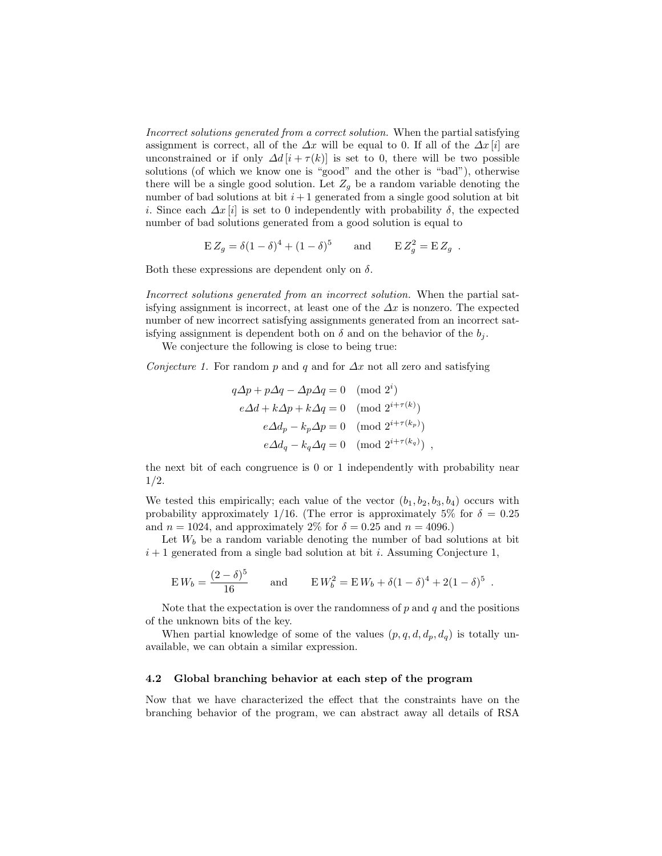Incorrect solutions generated from a correct solution. When the partial satisfying assignment is correct, all of the  $\Delta x$  will be equal to 0. If all of the  $\Delta x$  [i] are unconstrained or if only  $\Delta d[i + \tau(k)]$  is set to 0, there will be two possible solutions (of which we know one is "good" and the other is "bad"), otherwise there will be a single good solution. Let  $Z_q$  be a random variable denoting the number of bad solutions at bit  $i+1$  generated from a single good solution at bit i. Since each  $\Delta x[i]$  is set to 0 independently with probability  $\delta$ , the expected number of bad solutions generated from a good solution is equal to

$$
\mathcal{E} Z_g = \delta (1 - \delta)^4 + (1 - \delta)^5 \quad \text{and} \quad \mathcal{E} Z_g^2 = \mathcal{E} Z_g.
$$

Both these expressions are dependent only on  $\delta$ .

Incorrect solutions generated from an incorrect solution. When the partial satisfying assignment is incorrect, at least one of the  $\Delta x$  is nonzero. The expected number of new incorrect satisfying assignments generated from an incorrect satisfying assignment is dependent both on  $\delta$  and on the behavior of the  $b_i$ .

We conjecture the following is close to being true:

Conjecture 1. For random p and q and for  $\Delta x$  not all zero and satisfying

$$
q\Delta p + p\Delta q - \Delta p\Delta q = 0 \pmod{2^{i}}
$$
  
\n
$$
e\Delta d + k\Delta p + k\Delta q = 0 \pmod{2^{i+\tau(k)}}
$$
  
\n
$$
e\Delta d_p - k_p\Delta p = 0 \pmod{2^{i+\tau(k_p)}}
$$
  
\n
$$
e\Delta d_q - k_q\Delta q = 0 \pmod{2^{i+\tau(k_q)}}
$$

the next bit of each congruence is 0 or 1 independently with probability near 1/2.

We tested this empirically; each value of the vector  $(b_1, b_2, b_3, b_4)$  occurs with probability approximately 1/16. (The error is approximately 5% for  $\delta = 0.25$ ) and  $n = 1024$ , and approximately 2% for  $\delta = 0.25$  and  $n = 4096$ .)

Let  $W_b$  be a random variable denoting the number of bad solutions at bit  $i+1$  generated from a single bad solution at bit i. Assuming Conjecture 1,

$$
E W_b = \frac{(2 - \delta)^5}{16} \quad \text{and} \quad E W_b^2 = E W_b + \delta (1 - \delta)^4 + 2(1 - \delta)^5.
$$

Note that the expectation is over the randomness of  $p$  and  $q$  and the positions of the unknown bits of the key.

When partial knowledge of some of the values  $(p, q, d, d_p, d_q)$  is totally unavailable, we can obtain a similar expression.

#### 4.2 Global branching behavior at each step of the program

Now that we have characterized the effect that the constraints have on the branching behavior of the program, we can abstract away all details of RSA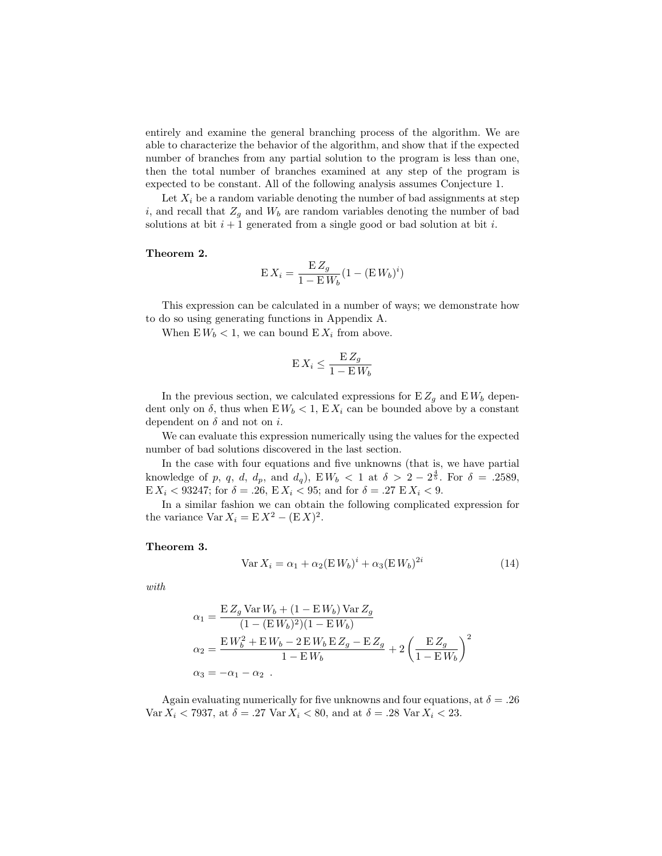entirely and examine the general branching process of the algorithm. We are able to characterize the behavior of the algorithm, and show that if the expected number of branches from any partial solution to the program is less than one, then the total number of branches examined at any step of the program is expected to be constant. All of the following analysis assumes Conjecture 1.

Let  $X_i$  be a random variable denoting the number of bad assignments at step i, and recall that  $Z_g$  and  $W_b$  are random variables denoting the number of bad solutions at bit  $i + 1$  generated from a single good or bad solution at bit i.

#### Theorem 2.

$$
\mathbf{E}\,X_i = \frac{\mathbf{E}\,Z_g}{1 - \mathbf{E}\,W_b}(1 - (\mathbf{E}\,W_b)^i)
$$

This expression can be calculated in a number of ways; we demonstrate how to do so using generating functions in Appendix A.

When  $E W_b < 1$ , we can bound  $E X_i$  from above.

$$
\mathbf{E}\,X_i \leq \frac{\mathbf{E}\,Z_g}{1 - \mathbf{E}\,W_b}
$$

In the previous section, we calculated expressions for  $E Z_g$  and  $E W_b$  dependent only on  $\delta$ , thus when  $E W_b < 1$ ,  $E X_i$  can be bounded above by a constant dependent on  $\delta$  and not on i.

We can evaluate this expression numerically using the values for the expected number of bad solutions discovered in the last section.

In the case with four equations and five unknowns (that is, we have partial knowledge of p, q, d,  $d_p$ , and  $d_q$ ),  $E W_b < 1$  at  $\delta > 2 - 2^{\frac{4}{5}}$ . For  $\delta = .2589$ , E  $X_i$  < 93247; for  $\delta = .26$ , E  $X_i$  < 95; and for  $\delta = .27$  E  $X_i$  < 9.

In a similar fashion we can obtain the following complicated expression for the variance  $\text{Var } X_i = \text{E} X^2 - (\text{E} X)^2$ .

#### Theorem 3.

$$
\text{Var}\,X_i = \alpha_1 + \alpha_2 (\text{E}\,W_b)^i + \alpha_3 (\text{E}\,W_b)^{2i} \tag{14}
$$

with

$$
\alpha_1 = \frac{E Z_g \text{Var} W_b + (1 - E W_b) \text{Var} Z_g}{(1 - (E W_b)^2)(1 - E W_b)}
$$
  
\n
$$
\alpha_2 = \frac{E W_b^2 + E W_b - 2 E W_b E Z_g - E Z_g}{1 - E W_b} + 2 \left(\frac{E Z_g}{1 - E W_b}\right)^2
$$
  
\n
$$
\alpha_3 = -\alpha_1 - \alpha_2.
$$

Again evaluating numerically for five unknowns and four equations, at  $\delta = .26$ Var  $X_i < 7937$ , at  $\delta = .27$  Var  $X_i < 80$ , and at  $\delta = .28$  Var  $X_i < 23$ .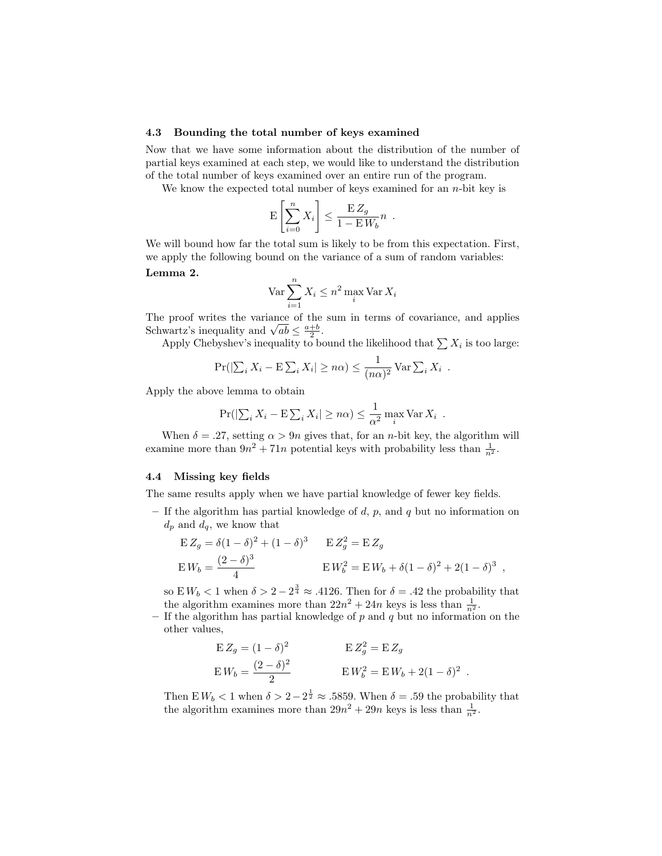#### 4.3 Bounding the total number of keys examined

Now that we have some information about the distribution of the number of partial keys examined at each step, we would like to understand the distribution of the total number of keys examined over an entire run of the program.

We know the expected total number of keys examined for an  $n$ -bit key is

$$
\mathbf{E}\left[\sum_{i=0}^n X_i\right] \le \frac{\mathbf{E}\,Z_g}{1-\mathbf{E}\,W_b}n.
$$

We will bound how far the total sum is likely to be from this expectation. First, we apply the following bound on the variance of a sum of random variables:

## Lemma 2.

$$
\operatorname{Var} \sum_{i=1}^{n} X_i \leq n^2 \max_{i} \operatorname{Var} X_i
$$

The proof writes the variance of the sum in terms of covariance, and applies The proof writes the variance of the<br>Schwartz's inequality and  $\sqrt{ab} \leq \frac{a+b}{2}$ .

Apply Chebyshev's inequality to bound the likelihood that  $\sum X_i$  is too large:

$$
\Pr(|\sum_i X_i - \mathbf{E} \sum_i X_i| \ge n\alpha) \le \frac{1}{(n\alpha)^2} \operatorname{Var} \sum_i X_i.
$$

Apply the above lemma to obtain

$$
\Pr(|\sum_{i} X_i - \mathbf{E} \sum_{i} X_i| \ge n\alpha) \le \frac{1}{\alpha^2} \max_{i} \text{Var } X_i.
$$

When  $\delta = .27$ , setting  $\alpha > 9n$  gives that, for an *n*-bit key, the algorithm will examine more than  $9n^2 + 71n$  potential keys with probability less than  $\frac{1}{n^2}$ .

## 4.4 Missing key fields

The same results apply when we have partial knowledge of fewer key fields.

– If the algorithm has partial knowledge of  $d$ ,  $p$ , and  $q$  but no information on  $d_p$  and  $d_q$ , we know that

$$
\begin{aligned} \mathbf{E} Z_g &= \delta (1 - \delta)^2 + (1 - \delta)^3 & \mathbf{E} Z_g^2 &= \mathbf{E} Z_g \\ \mathbf{E} W_b &= \frac{(2 - \delta)^3}{4} & \mathbf{E} W_b^2 &= \mathbf{E} W_b + \delta (1 - \delta)^2 + 2(1 - \delta)^3 \end{aligned}
$$

so  $E W_b < 1$  when  $\delta > 2 - 2^{\frac{3}{4}} \approx .4126$ . Then for  $\delta = .42$  the probability that the algorithm examines more than  $22n^2 + 24n$  keys is less than  $\frac{1}{n^2}$ .

– If the algorithm has partial knowledge of  $p$  and  $q$  but no information on the other values,

$$
\mathbf{E} Z_g = (1 - \delta)^2 \qquad \qquad \mathbf{E} Z_g^2 = \mathbf{E} Z_g
$$
  
\n
$$
\mathbf{E} W_b = \frac{(2 - \delta)^2}{2} \qquad \qquad \mathbf{E} W_b^2 = \mathbf{E} W_b + 2(1 - \delta)^2.
$$

Then E  $W_b < 1$  when  $\delta > 2 - 2^{\frac{1}{2}} \approx .5859$ . When  $\delta = .59$  the probability that the algorithm examines more than  $29n^2 + 29n$  keys is less than  $\frac{1}{n^2}$ .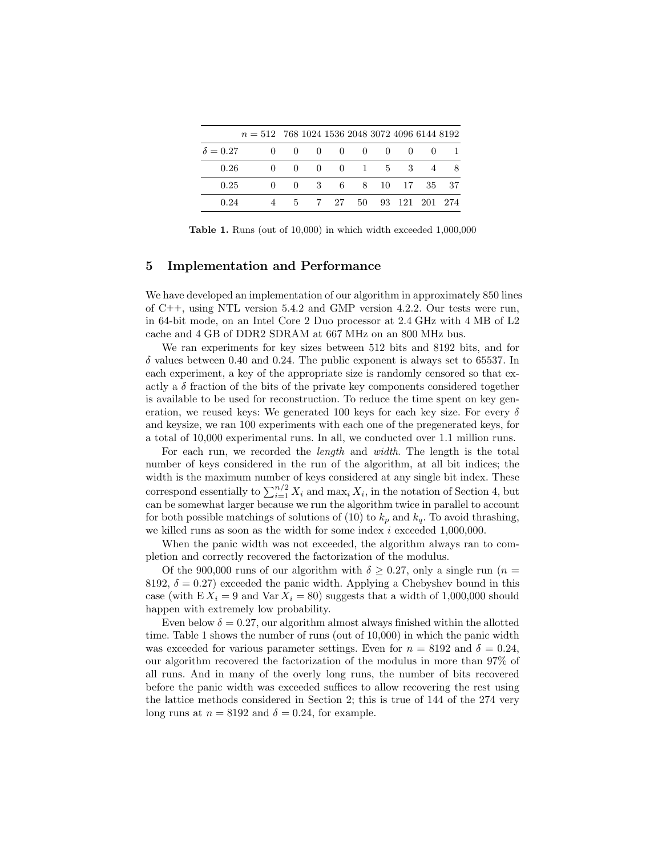|                 | $n = 512$ 768 1024 1536 2048 3072 4096 6144 8192 |  |  |  |                                        |  |
|-----------------|--------------------------------------------------|--|--|--|----------------------------------------|--|
| $\delta = 0.27$ |                                                  |  |  |  | $0 \t 0 \t 0 \t 0 \t 0 \t 0 \t 0 \t 1$ |  |
| 0.26            |                                                  |  |  |  | 0 0 0 0 1 5 3 4 8                      |  |
| 0.25            |                                                  |  |  |  | 0 0 3 6 8 10 17 35 37                  |  |
| 0.24            |                                                  |  |  |  | 4 5 7 27 50 93 121 201 274             |  |

Table 1. Runs (out of 10,000) in which width exceeded 1,000,000

## 5 Implementation and Performance

We have developed an implementation of our algorithm in approximately 850 lines of C++, using NTL version 5.4.2 and GMP version 4.2.2. Our tests were run, in 64-bit mode, on an Intel Core 2 Duo processor at 2.4 GHz with 4 MB of L2 cache and 4 GB of DDR2 SDRAM at 667 MHz on an 800 MHz bus.

We ran experiments for key sizes between 512 bits and 8192 bits, and for  $\delta$  values between 0.40 and 0.24. The public exponent is always set to 65537. In each experiment, a key of the appropriate size is randomly censored so that exactly a  $\delta$  fraction of the bits of the private key components considered together is available to be used for reconstruction. To reduce the time spent on key generation, we reused keys: We generated 100 keys for each key size. For every  $\delta$ and keysize, we ran 100 experiments with each one of the pregenerated keys, for a total of 10,000 experimental runs. In all, we conducted over 1.1 million runs.

For each run, we recorded the length and width. The length is the total number of keys considered in the run of the algorithm, at all bit indices; the width is the maximum number of keys considered at any single bit index. These correspond essentially to  $\sum_{i=1}^{n/2} X_i$  and  $\max_i X_i$ , in the notation of Section 4, but can be somewhat larger because we run the algorithm twice in parallel to account for both possible matchings of solutions of (10) to  $k_p$  and  $k_q$ . To avoid thrashing, we killed runs as soon as the width for some index  $i$  exceeded 1,000,000.

When the panic width was not exceeded, the algorithm always ran to completion and correctly recovered the factorization of the modulus.

Of the 900,000 runs of our algorithm with  $\delta > 0.27$ , only a single run (n = 8192,  $\delta = 0.27$ ) exceeded the panic width. Applying a Chebyshev bound in this case (with  $EX_i = 9$  and  $Var X_i = 80$ ) suggests that a width of 1,000,000 should happen with extremely low probability.

Even below  $\delta = 0.27$ , our algorithm almost always finished within the allotted time. Table 1 shows the number of runs (out of 10,000) in which the panic width was exceeded for various parameter settings. Even for  $n = 8192$  and  $\delta = 0.24$ , our algorithm recovered the factorization of the modulus in more than 97% of all runs. And in many of the overly long runs, the number of bits recovered before the panic width was exceeded suffices to allow recovering the rest using the lattice methods considered in Section 2; this is true of 144 of the 274 very long runs at  $n = 8192$  and  $\delta = 0.24$ , for example.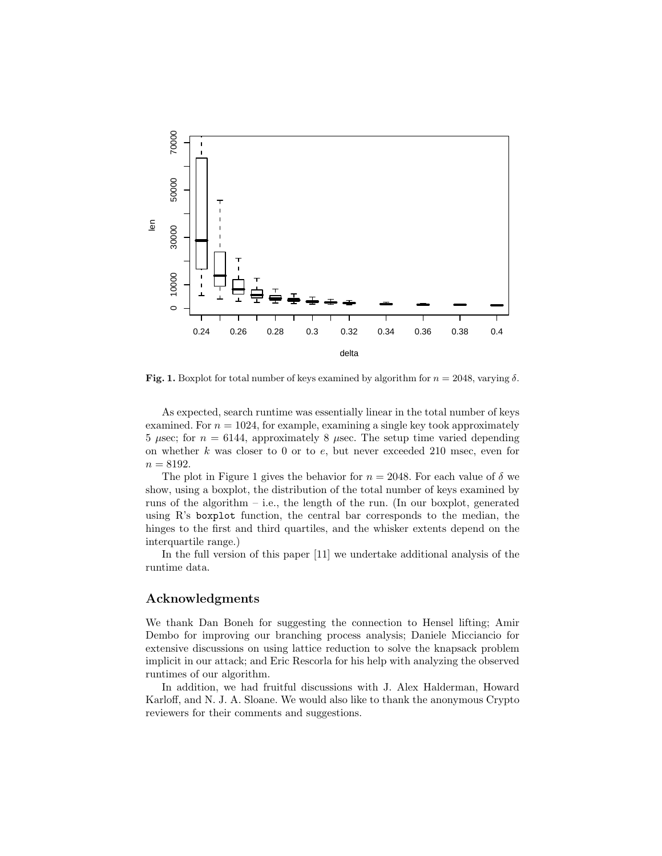

Fig. 1. Boxplot for total number of keys examined by algorithm for  $n = 2048$ , varying  $\delta$ .

As expected, search runtime was essentially linear in the total number of keys examined. For  $n = 1024$ , for example, examining a single key took approximately 5  $\mu$ sec; for  $n = 6144$ , approximately 8  $\mu$ sec. The setup time varied depending on whether  $k$  was closer to 0 or to  $e$ , but never exceeded 210 msec, even for  $n = 8192.$ 

The plot in Figure 1 gives the behavior for  $n = 2048$ . For each value of  $\delta$  we show, using a boxplot, the distribution of the total number of keys examined by runs of the algorithm – i.e., the length of the run. (In our boxplot, generated using R's boxplot function, the central bar corresponds to the median, the hinges to the first and third quartiles, and the whisker extents depend on the interquartile range.)

In the full version of this paper [11] we undertake additional analysis of the runtime data.

## Acknowledgments

We thank Dan Boneh for suggesting the connection to Hensel lifting; Amir Dembo for improving our branching process analysis; Daniele Micciancio for extensive discussions on using lattice reduction to solve the knapsack problem implicit in our attack; and Eric Rescorla for his help with analyzing the observed runtimes of our algorithm.

In addition, we had fruitful discussions with J. Alex Halderman, Howard Karloff, and N. J. A. Sloane. We would also like to thank the anonymous Crypto reviewers for their comments and suggestions.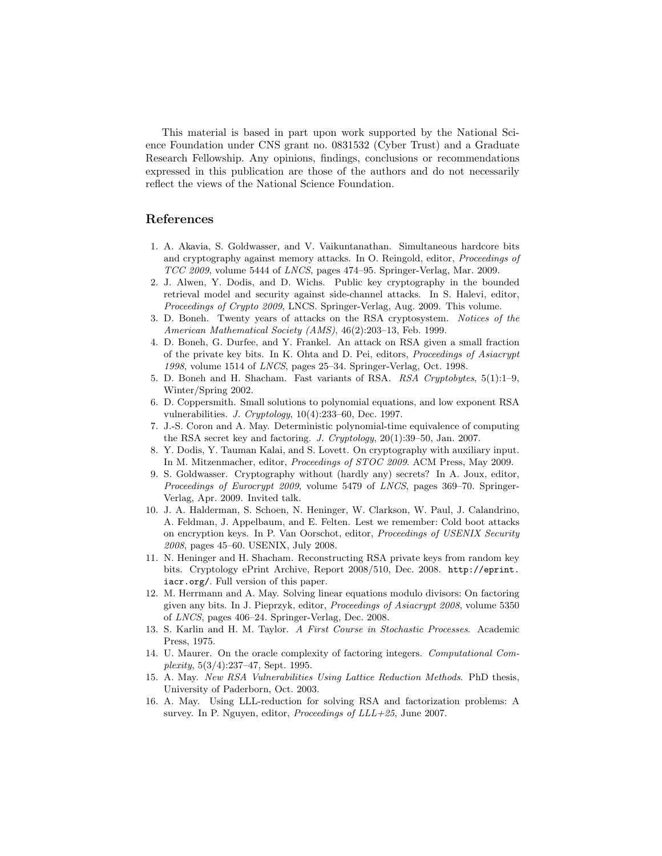This material is based in part upon work supported by the National Science Foundation under CNS grant no. 0831532 (Cyber Trust) and a Graduate Research Fellowship. Any opinions, findings, conclusions or recommendations expressed in this publication are those of the authors and do not necessarily reflect the views of the National Science Foundation.

# References

- 1. A. Akavia, S. Goldwasser, and V. Vaikuntanathan. Simultaneous hardcore bits and cryptography against memory attacks. In O. Reingold, editor, Proceedings of TCC 2009, volume 5444 of LNCS, pages 474–95. Springer-Verlag, Mar. 2009.
- 2. J. Alwen, Y. Dodis, and D. Wichs. Public key cryptography in the bounded retrieval model and security against side-channel attacks. In S. Halevi, editor, Proceedings of Crypto 2009, LNCS. Springer-Verlag, Aug. 2009. This volume.
- 3. D. Boneh. Twenty years of attacks on the RSA cryptosystem. Notices of the American Mathematical Society (AMS), 46(2):203–13, Feb. 1999.
- 4. D. Boneh, G. Durfee, and Y. Frankel. An attack on RSA given a small fraction of the private key bits. In K. Ohta and D. Pei, editors, Proceedings of Asiacrypt 1998, volume 1514 of LNCS, pages 25–34. Springer-Verlag, Oct. 1998.
- 5. D. Boneh and H. Shacham. Fast variants of RSA. RSA Cryptobytes, 5(1):1–9, Winter/Spring 2002.
- 6. D. Coppersmith. Small solutions to polynomial equations, and low exponent RSA vulnerabilities. J. Cryptology, 10(4):233–60, Dec. 1997.
- 7. J.-S. Coron and A. May. Deterministic polynomial-time equivalence of computing the RSA secret key and factoring. J. Cryptology, 20(1):39–50, Jan. 2007.
- 8. Y. Dodis, Y. Tauman Kalai, and S. Lovett. On cryptography with auxiliary input. In M. Mitzenmacher, editor, Proceedings of STOC 2009. ACM Press, May 2009.
- 9. S. Goldwasser. Cryptography without (hardly any) secrets? In A. Joux, editor, Proceedings of Eurocrypt 2009, volume 5479 of LNCS, pages 369–70. Springer-Verlag, Apr. 2009. Invited talk.
- 10. J. A. Halderman, S. Schoen, N. Heninger, W. Clarkson, W. Paul, J. Calandrino, A. Feldman, J. Appelbaum, and E. Felten. Lest we remember: Cold boot attacks on encryption keys. In P. Van Oorschot, editor, Proceedings of USENIX Security 2008, pages 45–60. USENIX, July 2008.
- 11. N. Heninger and H. Shacham. Reconstructing RSA private keys from random key bits. Cryptology ePrint Archive, Report 2008/510, Dec. 2008. http://eprint. iacr.org/. Full version of this paper.
- 12. M. Herrmann and A. May. Solving linear equations modulo divisors: On factoring given any bits. In J. Pieprzyk, editor, Proceedings of Asiacrypt 2008, volume 5350 of LNCS, pages 406–24. Springer-Verlag, Dec. 2008.
- 13. S. Karlin and H. M. Taylor. A First Course in Stochastic Processes. Academic Press, 1975.
- 14. U. Maurer. On the oracle complexity of factoring integers. Computational Complexity, 5(3/4):237–47, Sept. 1995.
- 15. A. May. New RSA Vulnerabilities Using Lattice Reduction Methods. PhD thesis, University of Paderborn, Oct. 2003.
- 16. A. May. Using LLL-reduction for solving RSA and factorization problems: A survey. In P. Nguyen, editor, Proceedings of  $LLL+25$ , June 2007.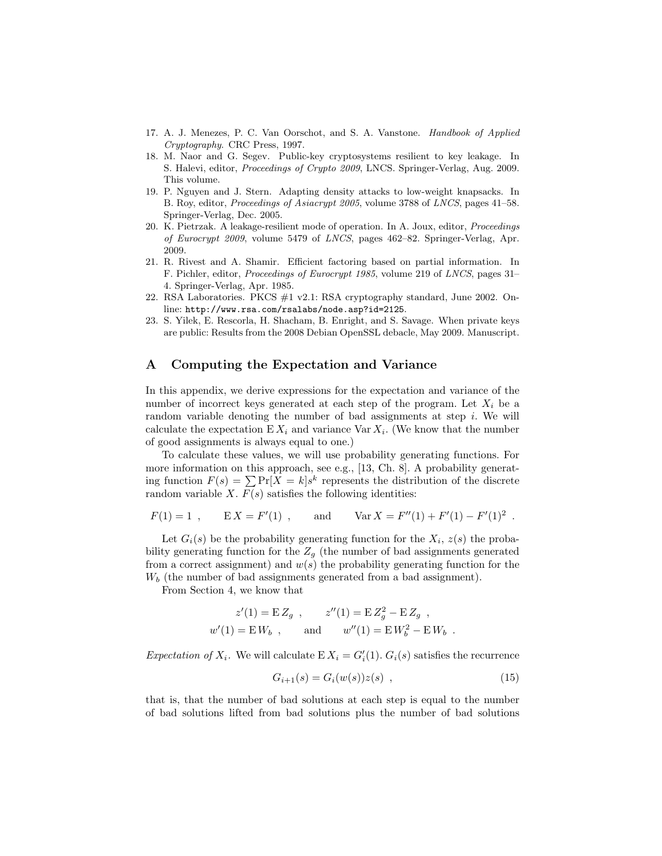- 17. A. J. Menezes, P. C. Van Oorschot, and S. A. Vanstone. Handbook of Applied Cryptography. CRC Press, 1997.
- 18. M. Naor and G. Segev. Public-key cryptosystems resilient to key leakage. In S. Halevi, editor, Proceedings of Crypto 2009, LNCS. Springer-Verlag, Aug. 2009. This volume.
- 19. P. Nguyen and J. Stern. Adapting density attacks to low-weight knapsacks. In B. Roy, editor, Proceedings of Asiacrypt 2005, volume 3788 of LNCS, pages 41–58. Springer-Verlag, Dec. 2005.
- 20. K. Pietrzak. A leakage-resilient mode of operation. In A. Joux, editor, Proceedings of Eurocrypt 2009, volume 5479 of LNCS, pages 462–82. Springer-Verlag, Apr. 2009.
- 21. R. Rivest and A. Shamir. Efficient factoring based on partial information. In F. Pichler, editor, Proceedings of Eurocrypt 1985, volume 219 of LNCS, pages 31– 4. Springer-Verlag, Apr. 1985.
- 22. RSA Laboratories. PKCS #1 v2.1: RSA cryptography standard, June 2002. Online: http://www.rsa.com/rsalabs/node.asp?id=2125.
- 23. S. Yilek, E. Rescorla, H. Shacham, B. Enright, and S. Savage. When private keys are public: Results from the 2008 Debian OpenSSL debacle, May 2009. Manuscript.

## A Computing the Expectation and Variance

In this appendix, we derive expressions for the expectation and variance of the number of incorrect keys generated at each step of the program. Let  $X_i$  be a random variable denoting the number of bad assignments at step  $i$ . We will calculate the expectation  $E X_i$  and variance Var  $X_i$ . (We know that the number of good assignments is always equal to one.)

To calculate these values, we will use probability generating functions. For more information on this approach, see e.g., [13, Ch. 8]. A probability generating function  $F(s) = \sum \Pr[X = k] s^k$  represents the distribution of the discrete random variable  $X$ .  $F(s)$  satisfies the following identities:

$$
F(1) = 1
$$
,  $EX = F'(1)$ , and  $Var X = F''(1) + F'(1) - F'(1)^2$ .

Let  $G_i(s)$  be the probability generating function for the  $X_i$ ,  $z(s)$  the probability generating function for the  $Z_g$  (the number of bad assignments generated from a correct assignment) and  $w(s)$  the probability generating function for the  $W_b$  (the number of bad assignments generated from a bad assignment).

From Section 4, we know that

$$
z'(1) = E Z_g
$$
,  $z''(1) = E Z_g^2 - E Z_g$ ,  
 $w'(1) = E W_b$ , and  $w''(1) = E W_b^2 - E W_b$ .

Expectation of  $X_i$ . We will calculate  $E X_i = G_i'(1)$ .  $G_i(s)$  satisfies the recurrence

$$
G_{i+1}(s) = G_i(w(s))z(s) , \qquad (15)
$$

that is, that the number of bad solutions at each step is equal to the number of bad solutions lifted from bad solutions plus the number of bad solutions